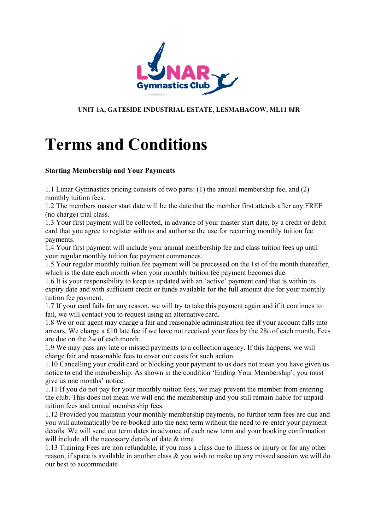

#### **UNIT 1A, GATESIDE INDUSTRIAL ESTATE, LESMAHAGOW, ML11 0JR**

# **Terms and Conditions**

#### **Starting Membership and Your Payments**

1.1 Lunar Gymnastics pricing consists of two parts: (1) the annual membership fee, and (2) monthly tuition fees.

1.2 The members master start date will be the date that the member first attends after any FREE (no charge) trial class.

1.3 Your first payment will be collected, in advance of your master start date, by a credit or debit card that you agree to register with us and authorise the use for recurring monthly tuition fee payments.

1.4 Your first payment will include your annual membership fee and class tuition fees up until your regular monthly tuition fee payment commences.

1.5 Your regular monthly tuition fee payment will be processed on the 1st of the month thereafter, which is the date each month when your monthly tuition fee payment becomes due.

1.6 It is your responsibility to keep us updated with an 'active' payment card that is within its expiry date and with sufficient credit or funds available for the full amount due for your monthly tuition fee payment.

1.7 If your card fails for any reason, we will try to take this payment again and if it continues to fail, we will contact you to request using an alternative card.

1.8 We or our agent may charge a fair and reasonable administration fee if your account falls into arrears. We charge a £10 late fee if we have not received your fees by the 28th of each month, Fees are due on the 2nd of each month.

1.9 We may pass any late or missed payments to a collection agency. If this happens, we will charge fair and reasonable fees to cover our costs for such action.

1.10 Cancelling your credit card or blocking your payment to us does not mean you have given us notice to end the membership. As shown in the condition 'Ending Your Membership', you must give us one months' notice.

1.11 If you do not pay for your monthly tuition fees, we may prevent the member from entering the club. This does not mean we will end the membership and you still remain liable for unpaid tuition fees and annual membership fees.

1.12 Provided you maintain your monthly membership payments, no further term fees are due and you will automatically be re-booked into the next term without the need to re-enter your payment details. We will send out term dates in advance of each new term and your booking confirmation will include all the necessary details of date & time

1.13 Training Fees are non refundable, if you miss a class due to illness or injury or for any other reason, if space is available in another class & you wish to make up any missed session we will do our best to accommodate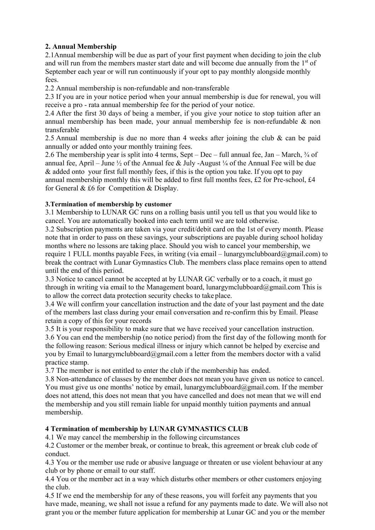## **2. Annual Membership**

2.1Annual membership will be due as part of your first payment when deciding to join the club and will run from the members master start date and will become due annually from the  $1<sup>st</sup>$  of September each year or will run continuously if your opt to pay monthly alongside monthly fees.

2.2 Annual membership is non-refundable and non-transferable

2.3 If you are in your notice period when your annual membership is due for renewal, you will receive a pro - rata annual membership fee for the period of your notice.

2.4 After the first 30 days of being a member, if you give your notice to stop tuition after an annual membership has been made, your annual membership fee is non-refundable & non transferable

2.5 Annual membership is due no more than 4 weeks after joining the club & can be paid annually or added onto your monthly training fees.

2.6 The membership year is split into 4 terms, Sept – Dec – full annual fee, Jan – March,  $\frac{3}{4}$  of annual fee, April – June  $\frac{1}{2}$  of the Annual fee & July -August  $\frac{1}{4}$  of the Annual Fee will be due & added onto your first full monthly fees, if this is the option you take. If you opt to pay annual membership monthly this will be added to first full months fees, £2 for Pre-school, £4 for General & £6 for Competition & Display.

## **3.Termination of membership by customer**

3.1 Membership to LUNAR GC runs on a rolling basis until you tell us that you would like to cancel. You are automatically booked into each term until we are told otherwise.

3.2 Subscription payments are taken via your credit/debit card on the 1st of every month. Please note that in order to pass on these savings, your subscriptions are payable during school holiday months where no lessons are taking place. Should you wish to cancel your membership, we require 1 FULL months payable Fees, in writing (via email – lunargymclubboard@gmail.com) to break the contract with Lunar Gymnastics Club. The members class place remains open to attend until the end of this period.

3.3 Notice to cancel cannot be accepted at by LUNAR GC verbally or to a coach, it must go through in writing via email to the Management board, [lunargymclubboard@gmail.com T](mailto:lunargymclubboard@gmail.com)his is to allow the correct data protection security checks to take place.

3.4 We will confirm your cancellation instruction and the date of your last payment and the date of the members last class during your email conversation and re-confirm this by Email. Please retain a copy of this for your records

3.5 It is your responsibility to make sure that we have received your cancellation instruction. 3.6 You can end the membership (no notice period) from the first day of the following month for the following reason: Serious medical illness or injury which cannot be helped by exercise and you by Email to [lunargymclubboard@gmail.com a](mailto:lunargymclubboard@gmail.com) letter from the members doctor with a valid practice stamp.

3.7 The member is not entitled to enter the club if the membership has ended.

3.8 Non-attendance of classes by the member does not mean you have given us notice to cancel. You must give us one months' notice by email, [lunargymclubboard@gmail.com. I](mailto:lunargymclubboard@gmail.com)f the member does not attend, this does not mean that you have cancelled and does not mean that we will end the membership and you still remain liable for unpaid monthly tuition payments and annual membership.

## **4 Termination of membership by LUNAR GYMNASTICS CLUB**

4.1 We may cancel the membership in the following circumstances

4.2 Customer or the member break, or continue to break, this agreement or break club code of conduct.

4.3 You or the member use rude or abusive language or threaten or use violent behaviour at any club or by phone or email to our staff.

4.4 You or the member act in a way which disturbs other members or other customers enjoying the club.

4.5 If we end the membership for any of these reasons, you will forfeit any payments that you have made, meaning, we shall not issue a refund for any payments made to date. We will also not grant you or the member future application for membership at Lunar GC and you or the member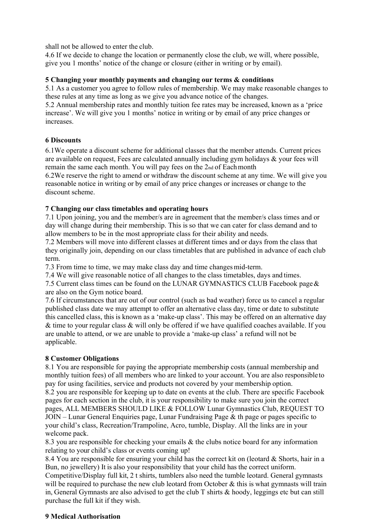shall not be allowed to enter the club.

4.6 If we decide to change the location or permanently close the club, we will, where possible, give you 1 months' notice of the change or closure (either in writing or by email).

#### **5 Changing your monthly payments and changing our terms & conditions**

5.1 As a customer you agree to follow rules of membership. We may make reasonable changes to these rules at any time as long as we give you advance notice of the changes.

5.2 Annual membership rates and monthly tuition fee rates may be increased, known as a 'price increase'. We will give you 1 months' notice in writing or by email of any price changes or increases.

#### **6 Discounts**

6.1We operate a discount scheme for additional classes that the member attends. Current prices are available on request, Fees are calculated annually including gym holidays & your fees will remain the same each month. You will pay fees on the 2nd of Each month

6.2We reserve the right to amend or withdraw the discount scheme at any time. We will give you reasonable notice in writing or by email of any price changes or increases or change to the discount scheme.

#### **7 Changing our class timetables and operating hours**

7.1 Upon joining, you and the member/s are in agreement that the member/s class times and or day will change during their membership. This is so that we can cater for class demand and to allow members to be in the most appropriate class for their ability and needs.

7.2 Members will move into different classes at different times and or days from the class that they originally join, depending on our class timetables that are published in advance of each club term.

7.3 From time to time, we may make class day and time changes mid-term.

7.4 We will give reasonable notice of all changes to the class timetables, days and times.

7.5 Current class times can be found on the LUNAR GYMNASTICS CLUB Facebook page & are also on the Gym notice board.

7.6 If circumstances that are out of our control (such as bad weather) force us to cancel a regular published class date we may attempt to offer an alternative class day, time or date to substitute this cancelled class, this is known as a 'make-up class'. This may be offered on an alternative day & time to your regular class & will only be offered if we have qualified coaches available. If you are unable to attend, or we are unable to provide a 'make-up class' a refund will not be applicable.

## **8 Customer Obligations**

8.1 You are responsible for paying the appropriate membership costs (annual membership and monthly tuition fees) of all members who are linked to your account. You are also responsible to pay for using facilities, service and products not covered by your membership option. 8.2 you are responsible for keeping up to date on events at the club. There are specific Facebook pages for each section in the club, it is your responsibility to make sure you join the correct pages, ALL MEMBERS SHOULD LIKE & FOLLOW Lunar Gymnastics Club, REQUEST TO  $JOIN - Lunar General Enquires page, Lunar Fundraising Page & th page or pages specific to$ your child's class, Recreation/Trampoline, Acro, tumble, Display. All the links are in your welcome pack.

8.3 you are responsible for checking your emails & the clubs notice board for any information relating to your child's class or events coming up!

8.4 You are responsible for ensuring your child has the correct kit on (leotard & Shorts, hair in a Bun, no jewellery) It is also your responsibility that your child has the correct uniform.

Competitive/Display full kit, 2 t shirts, tumblers also need the tumble leotard. General gymnasts will be required to purchase the new club leotard from October & this is what gymnasts will train in, General Gymnasts are also advised to get the club T shirts & hoody, leggings etc but can still purchase the full kit if they wish.

#### **9 Medical Authorisation**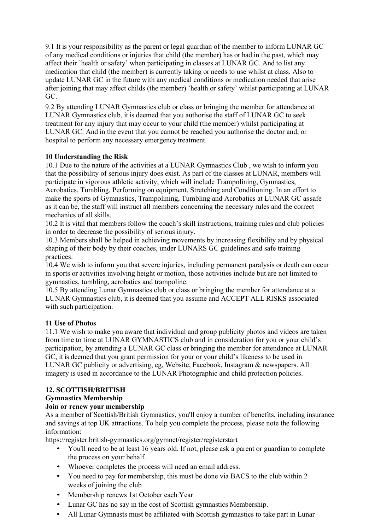9.1 It is your responsibility as the parent or legal guardian of the member to inform LUNAR GC of any medical conditions or injuries that child (the member) has or had in the past, which may affect their 'health or safety' when participating in classes at LUNAR GC. And to list any medication that child (the member) is currently taking or needs to use whilst at class. Also to update LUNAR GC in the future with any medical conditions or medication needed that arise after joining that may affect childs (the member) 'health or safety' whilst participating at LUNAR GC.

9.2 By attending LUNAR Gymnastics club or class or bringing the member for attendance at LUNAR Gymnastics club, it is deemed that you authorise the staff of LUNAR GC to seek treatment for any injury that may occur to your child (the member) whilst participating at LUNAR GC. And in the event that you cannot be reached you authorise the doctor and, or hospital to perform any necessary emergency treatment.

#### **10 Understanding the Risk**

10.1 Due to the nature of the activities at a LUNAR Gymnastics Club , we wish to inform you that the possibility of serious injury does exist. As part of the classes at LUNAR, members will participate in vigorous athletic activity, which will include Trampolining, Gymnastics, Acrobatics, Tumbling, Performing on equipment, Stretching and Conditioning. In an effort to make the sports of Gymnastics, Trampolining, Tumbling and Acrobatics at LUNAR GC as safe as it can be, the staff will instruct all members concerning the necessary rules and the correct mechanics of all skills.

10.2 It is vital that members follow the coach's skill instructions, training rules and club policies in order to decrease the possibility of serious injury.

10.3 Members shall be helped in achieving movements by increasing flexibility and by physical shaping of their body by their coaches, under LUNARS GC guidelines and safe training practices.

10.4 We wish to inform you that severe injuries, including permanent paralysis or death can occur in sports or activities involving height or motion, those activities include but are not limited to gymnastics, tumbling, acrobatics and trampoline.

10.5 By attending Lunar Gymnastics club or class or bringing the member for attendance at a LUNAR Gymnastics club, it is deemed that you assume and ACCEPT ALL RISKS associated with such participation.

## **11 Use of Photos**

11.1 We wish to make you aware that individual and group publicity photos and videos are taken from time to time at LUNAR GYMNASTICS club and in consideration for you or your child's participation, by attending a LUNAR GC class or bringing the member for attendance at LUNAR GC, it is deemed that you grant permission for your or your child's likeness to be used in LUNAR GC publicity or advertising, eg, Website, Facebook, Instagram & newspapers. All imagery is used in accordance to the LUNAR Photographic and child protection policies.

## **12. SCOTTISH/BRITISH**

## **Gymnastics Membership**

## **Join or renew your membership**

As a member of Scottish/British Gymnastics, you'll enjoy a number of benefits, including insurance and savings at top UK attractions. To help you complete the process, please note the following information:

https://register.british-gymnastics.org/gymnet/register/registerstart

- You'll need to be at least 16 years old. If not, please ask a parent or guardian to complete the process on your behalf.
- Whoever completes the process will need an email address.
- You need to pay for membership, this must be done via BACS to the club within 2 weeks of joining the club
- Membership renews 1st October each Year
- Lunar GC has no say in the cost of Scottish gymnastics Membership.
- All Lunar Gymnasts must be affiliated with Scottish gymnastics to take part in Lunar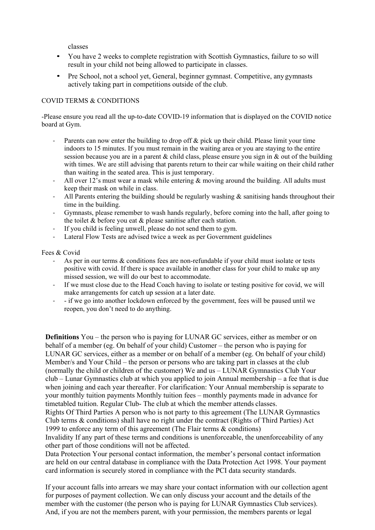classes

- You have 2 weeks to complete registration with Scottish Gymnastics, failure to so will result in your child not being allowed to participate in classes.
- Pre School, not a school yet, General, beginner gymnast. Competitive, any gymnasts actively taking part in competitions outside of the club.

#### COVID TERMS & CONDITIONS

-Please ensure you read all the up-to-date COVID-19 information that is displayed on the COVID notice board at Gym.

- Parents can now enter the building to drop off & pick up their child. Please limit your time indoors to 15 minutes. If you must remain in the waiting area or you are staying to the entire session because you are in a parent & child class, please ensure you sign in & out of the building with times. We are still advising that parents return to their car while waiting on their child rather than waiting in the seated area. This is just temporary.
- All over 12's must wear a mask while entering  $\&$  moving around the building. All adults must keep their mask on while in class.
- All Parents entering the building should be regularly washing  $\&$  sanitising hands throughout their time in the building.
- Gymnasts, please remember to wash hands regularly, before coming into the hall, after going to the toilet & before you eat & please sanitise after each station.
- If you child is feeling unwell, please do not send them to gym.
- Lateral Flow Tests are advised twice a week as per Government guidelines

#### Fees & Covid

- As per in our terms & conditions fees are non-refundable if your child must isolate or tests positive with covid. If there is space available in another class for your child to make up any missed session, we will do our best to accommodate.
- If we must close due to the Head Coach having to isolate or testing positive for covid, we will make arrangements for catch up session at a later date.
- - if we go into another lockdown enforced by the government, fees will be paused until we reopen, you don't need to do anything.

**Definitions** You – the person who is paying for LUNAR GC services, either as member or on behalf of a member (eg. On behalf of your child) Customer – the person who is paying for LUNAR GC services, either as a member or on behalf of a member (eg. On behalf of your child) Member/s and Your Child – the person or persons who are taking part in classes at the club (normally the child or children of the customer) We and us – LUNAR Gymnastics Club Your club – Lunar Gymnastics club at which you applied to join Annual membership – a fee that is due when joining and each year thereafter. For clarification: Your Annual membership is separate to your monthly tuition payments Monthly tuition fees – monthly payments made in advance for timetabled tuition. Regular Club- The club at which the member attends classes.

Rights Of Third Parties A person who is not party to this agreement (The LUNAR Gymnastics Club terms & conditions) shall have no right under the contract (Rights of Third Parties) Act 1999 to enforce any term of this agreement (The Flair terms & conditions)

Invalidity If any part of these terms and conditions is unenforceable, the unenforceability of any other part of those conditions will not be affected.

Data Protection Your personal contact information, the member's personal contact information are held on our central database in compliance with the Data Protection Act 1998. Your payment card information is securely stored in compliance with the PCI data security standards.

If your account falls into arrears we may share your contact information with our collection agent for purposes of payment collection. We can only discuss your account and the details of the member with the customer (the person who is paying for LUNAR Gymnastics Club services). And, if you are not the members parent, with your permission, the members parents or legal